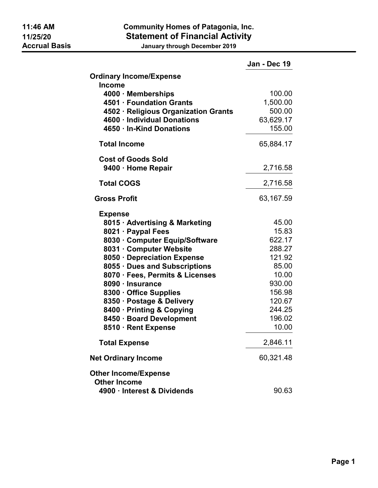## 11:46 AM Community Homes of Patagonia, Inc. 11/25/20 **Statement of Financial Activity**<br>Accrual Basis **Statement of Financial Activity**

January through December 2019

|                                                              | Jan - Dec 19     |
|--------------------------------------------------------------|------------------|
| <b>Ordinary Income/Expense</b><br><b>Income</b>              |                  |
| 4000 · Memberships                                           | 100.00           |
| 4501 · Foundation Grants                                     | 1,500.00         |
| 4502 · Religious Organization Grants                         | 500.00           |
| 4600 · Individual Donations                                  | 63,629.17        |
| 4650 · In-Kind Donations                                     | 155.00           |
| <b>Total Income</b>                                          | 65,884.17        |
| <b>Cost of Goods Sold</b>                                    |                  |
| 9400 · Home Repair                                           | 2,716.58         |
| <b>Total COGS</b>                                            | 2,716.58         |
| <b>Gross Profit</b>                                          | 63,167.59        |
| <b>Expense</b>                                               |                  |
| 8015 · Advertising & Marketing                               | 45.00            |
| 8021 · Paypal Fees                                           | 15.83            |
| 8030 · Computer Equip/Software                               | 622.17           |
| 8031 · Computer Website                                      | 288.27<br>121.92 |
| 8050 · Depreciation Expense<br>8055 · Dues and Subscriptions | 85.00            |
| 8070 · Fees, Permits & Licenses                              | 10.00            |
| 8090 · Insurance                                             | 930.00           |
| 8300 · Office Supplies                                       | 156.98           |
| 8350 · Postage & Delivery                                    | 120.67           |
| 8400 · Printing & Copying                                    | 244.25           |
| 8450 · Board Development                                     | 196.02           |
| 8510 · Rent Expense                                          | 10.00            |
| <b>Total Expense</b>                                         | 2,846.11         |
| <b>Net Ordinary Income</b>                                   | 60,321.48        |
| <b>Other Income/Expense</b>                                  |                  |
| <b>Other Income</b><br>4900 · Interest & Dividends           | 90.63            |
|                                                              |                  |